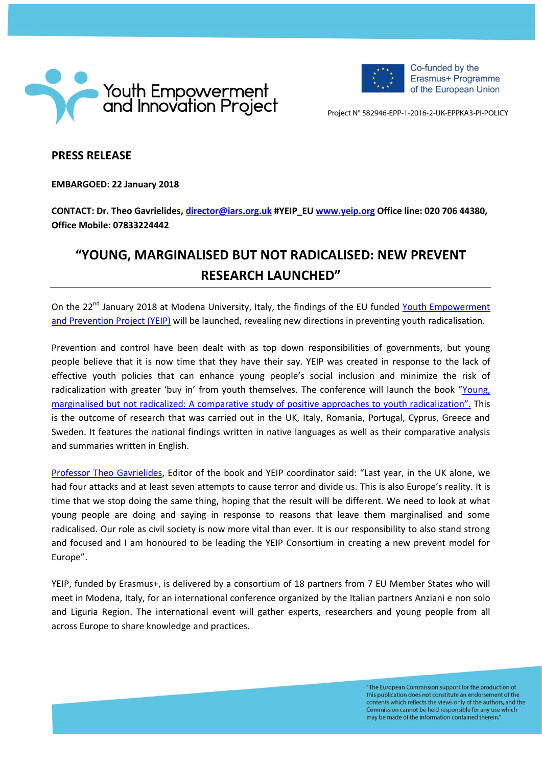



Co-funded by the Erasmus+ Programme of the European Union

Project Nº 582946-EPP-1-2016-2-UK-EPPKA3-PI-POLICY

## **PRESS RELEASE**

**EMBARGOED: 22 January 2018**

**CONTACT: Dr. Theo Gavrielides, [director@iars.org.uk](mailto:director@iars.org.uk) #YEIP\_EU [www.yeip.org](http://www.yeip.org/) Office line: 020 706 44380, Office Mobile: 07833224442**

## **"YOUNG, MARGINALISED BUT NOT RADICALISED: NEW PREVENT RESEARCH LAUNCHED"**

On the 22<sup>nd</sup> January 2018 at Modena University, Italy, the findings of the EU funded Youth Empowerment [and Prevention Project \(YEIP\)](http://www.yeip.org.uk/) will be launched, revealing new directions in preventing youth radicalisation.

Prevention and control have been dealt with as top down responsibilities of governments, but young people believe that it is now time that they have their say. YEIP was created in response to the lack of effective youth policies that can enhance young people's social inclusion and minimize the risk of radicalization with greater 'buy in' from youth themselves. The conference will launch the book "[Young,](http://www.yeip.org/)  [marginalised but not radicalized: A comparative study of positive approaches to](http://www.yeip.org/) youth radicalization". This is the outcome of research that was carried out in the UK, Italy, Romania, Portugal, Cyprus, Greece and Sweden. It features the national findings written in native languages as well as their comparative analysis and summaries written in English.

[Professor Theo Gavrielides](http://www.theogavrielides.com/), Editor of the book and YEIP coordinator said: "Last year, in the UK alone, we had four attacks and at least seven attempts to cause terror and divide us. This is also Europe's reality. It is time that we stop doing the same thing, hoping that the result will be different. We need to look at what young people are doing and saying in response to reasons that leave them marginalised and some radicalised. Our role as civil society is now more vital than ever. It is our responsibility to also stand strong and focused and I am honoured to be leading the YEIP Consortium in creating a new prevent model for Europe".

YEIP, funded by Erasmus+, is delivered by a consortium of 18 partners from 7 EU Member States who will meet in Modena, Italy, for an international conference organized by the Italian partners Anziani e non solo and Liguria Region. The international event will gather experts, researchers and young people from all across Europe to share knowledge and practices.

> "The European Commission support for the production of this publication does not constitute an endorsement of the contents which reflects the views only of the authors, and the Commission cannot be held responsible for any use which may be made of the information contained therein."